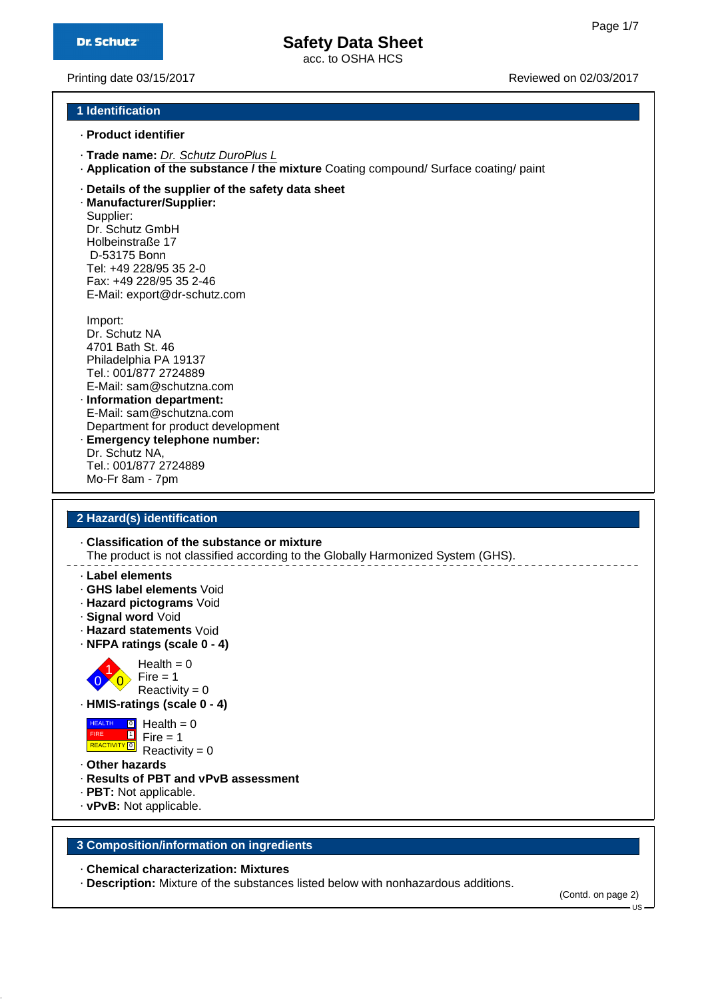acc. to OSHA HCS

Printing date 03/15/2017 **Printing date 03/15/2017 Reviewed on 02/03/2017** 

#### **1 Identification**

- · **Product identifier**
- · **Trade name:** Dr. Schutz DuroPlus L
- · **Application of the substance / the mixture** Coating compound/ Surface coating/ paint
- · **Details of the supplier of the safety data sheet**

· **Manufacturer/Supplier:** Supplier: Dr. Schutz GmbH Holbeinstraße 17 D-53175 Bonn Tel: +49 228/95 35 2-0 Fax: +49 228/95 35 2-46 E-Mail: export@dr-schutz.com

Import: Dr. Schutz NA 4701 Bath St. 46 Philadelphia PA 19137 Tel.: 001/877 2724889 E-Mail: sam@schutzna.com · **Information department:** E-Mail: sam@schutzna.com

- Department for product development · **Emergency telephone number:** Dr. Schutz NA,
- Tel.: 001/877 2724889 Mo-Fr 8am - 7pm

#### **2 Hazard(s) identification**

· **Classification of the substance or mixture**

The product is not classified according to the Globally Harmonized System (GHS).

- · **Label elements**
- · **GHS label elements** Void
- · **Hazard pictograms** Void
- · **Signal word** Void
- · **Hazard statements** Void
- · **NFPA ratings (scale 0 4)**



 $Reactivity = 0$ · **HMIS-ratings (scale 0 - 4)**



- · **Other hazards**
- · **Results of PBT and vPvB assessment**
- · **PBT:** Not applicable.
- · **vPvB:** Not applicable.

#### **3 Composition/information on ingredients**

#### · **Chemical characterization: Mixtures**

· **Description:** Mixture of the substances listed below with nonhazardous additions.

(Contd. on page 2)

 $-11S$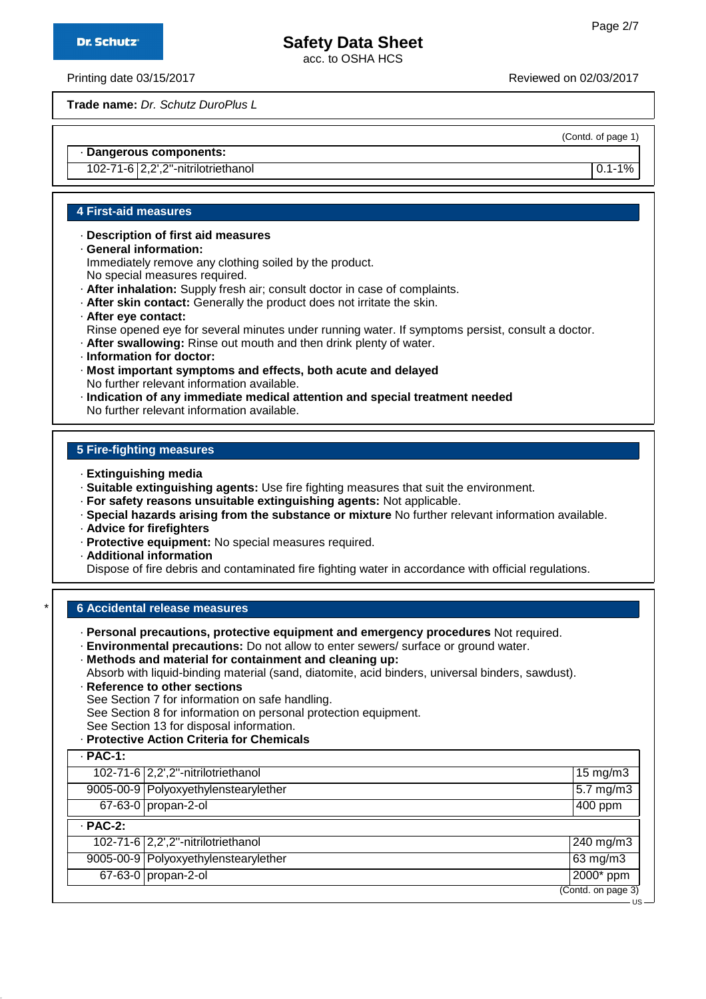acc. to OSHA HCS

Printing date 03/15/2017 Reviewed on 02/03/2017

**Trade name:** Dr. Schutz DuroPlus L

(Contd. of page 1)

US

#### · **Dangerous components:**

102-71-6 2,2',2''-nitrilotriethanol 0.1-1%

#### **4 First-aid measures**

- · **Description of first aid measures**
- · **General information:** Immediately remove any clothing soiled by the product. No special measures required.
- · **After inhalation:** Supply fresh air; consult doctor in case of complaints.
- · **After skin contact:** Generally the product does not irritate the skin.
- · **After eye contact:**
- Rinse opened eye for several minutes under running water. If symptoms persist, consult a doctor.
- · **After swallowing:** Rinse out mouth and then drink plenty of water.
- · **Information for doctor:**
- · **Most important symptoms and effects, both acute and delayed** No further relevant information available.
- · **Indication of any immediate medical attention and special treatment needed** No further relevant information available.

#### **5 Fire-fighting measures**

- · **Extinguishing media**
- · **Suitable extinguishing agents:** Use fire fighting measures that suit the environment.
- · **For safety reasons unsuitable extinguishing agents:** Not applicable.
- · **Special hazards arising from the substance or mixture** No further relevant information available.
- · **Advice for firefighters**
- · **Protective equipment:** No special measures required.
- · **Additional information**

Dispose of fire debris and contaminated fire fighting water in accordance with official regulations.

#### \* **6 Accidental release measures**

- · **Personal precautions, protective equipment and emergency procedures** Not required.
- · **Environmental precautions:** Do not allow to enter sewers/ surface or ground water.
- · **Methods and material for containment and cleaning up:**

Absorb with liquid-binding material (sand, diatomite, acid binders, universal binders, sawdust).

- · **Reference to other sections** See Section 7 for information on safe handling. See Section 8 for information on personal protection equipment. See Section 13 for disposal information.
- · **Protective Action Criteria for Chemicals**

| $\cdot$ PAC-1: |                                      |                                 |
|----------------|--------------------------------------|---------------------------------|
|                | 102-71-6 2,2',2"-nitrilotriethanol   | 15 mg/m3                        |
|                | 9005-00-9 Polyoxyethylenstearylether | $5.7 \text{ mg/m}$              |
|                | 67-63-0 propan-2-ol                  | $\overline{400}$ ppm            |
| $·$ PAC-2:     |                                      |                                 |
|                | 102-71-6 2,2',2"-nitrilotriethanol   | $240$ mg/m3                     |
|                | 9005-00-9 Polyoxyethylenstearylether | $63 \text{ mg/m}$               |
|                | 67-63-0 propan-2-ol                  | 2000* ppm                       |
|                |                                      | $\overline{(Contd. on page 3)}$ |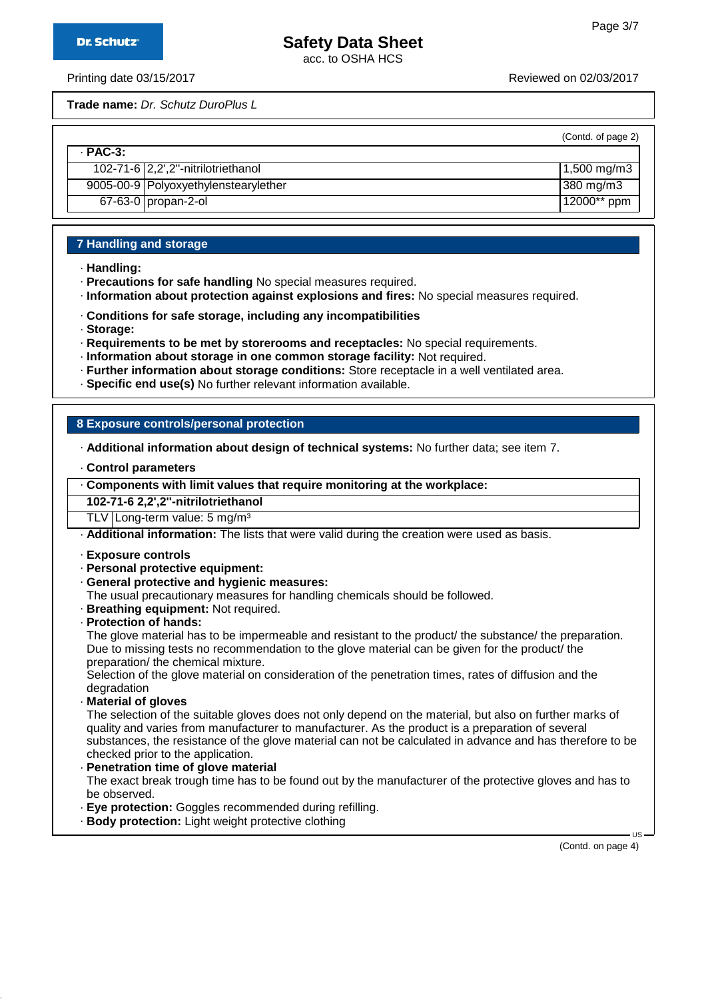acc. to OSHA HCS

Printing date 03/15/2017 Reviewed on 02/03/2017

**Trade name:** Dr. Schutz DuroPlus L

(Contd. of page 2)

| $-$ PAC-3: |                                        |                          |
|------------|----------------------------------------|--------------------------|
|            | 102-71-6 2,2',2"-nitrilotriethanol     | $1,500 \,\mathrm{mg/m3}$ |
|            | 9005-00-9   Polyoxyethylenstearylether | $ 380 \text{ mg/m}$      |
|            | $67 - 63 - 0$ propan-2-ol              | 12000** ppm              |

#### **7 Handling and storage**

- · **Handling:**
- · **Precautions for safe handling** No special measures required.
- · **Information about protection against explosions and fires:** No special measures required.
- · **Conditions for safe storage, including any incompatibilities**
- · **Storage:**
- · **Requirements to be met by storerooms and receptacles:** No special requirements.
- · **Information about storage in one common storage facility:** Not required.
- · **Further information about storage conditions:** Store receptacle in a well ventilated area.
- · **Specific end use(s)** No further relevant information available.

#### **8 Exposure controls/personal protection**

· **Additional information about design of technical systems:** No further data; see item 7.

- · **Control parameters**
- · **Components with limit values that require monitoring at the workplace:**

**102-71-6 2,2',2''-nitrilotriethanol**

TLV Long-term value: 5 mg/m<sup>3</sup>

· **Additional information:** The lists that were valid during the creation were used as basis.

- · **Exposure controls**
- · **Personal protective equipment:**
- · **General protective and hygienic measures:**
- The usual precautionary measures for handling chemicals should be followed.
- · **Breathing equipment:** Not required.
- · **Protection of hands:**

The glove material has to be impermeable and resistant to the product/ the substance/ the preparation. Due to missing tests no recommendation to the glove material can be given for the product/ the preparation/ the chemical mixture.

Selection of the glove material on consideration of the penetration times, rates of diffusion and the degradation

· **Material of gloves**

The selection of the suitable gloves does not only depend on the material, but also on further marks of quality and varies from manufacturer to manufacturer. As the product is a preparation of several substances, the resistance of the glove material can not be calculated in advance and has therefore to be checked prior to the application.

- · **Penetration time of glove material** The exact break trough time has to be found out by the manufacturer of the protective gloves and has to be observed.
- · **Eye protection:** Goggles recommended during refilling.
- · **Body protection:** Light weight protective clothing

(Contd. on page 4)

 $\overline{11}$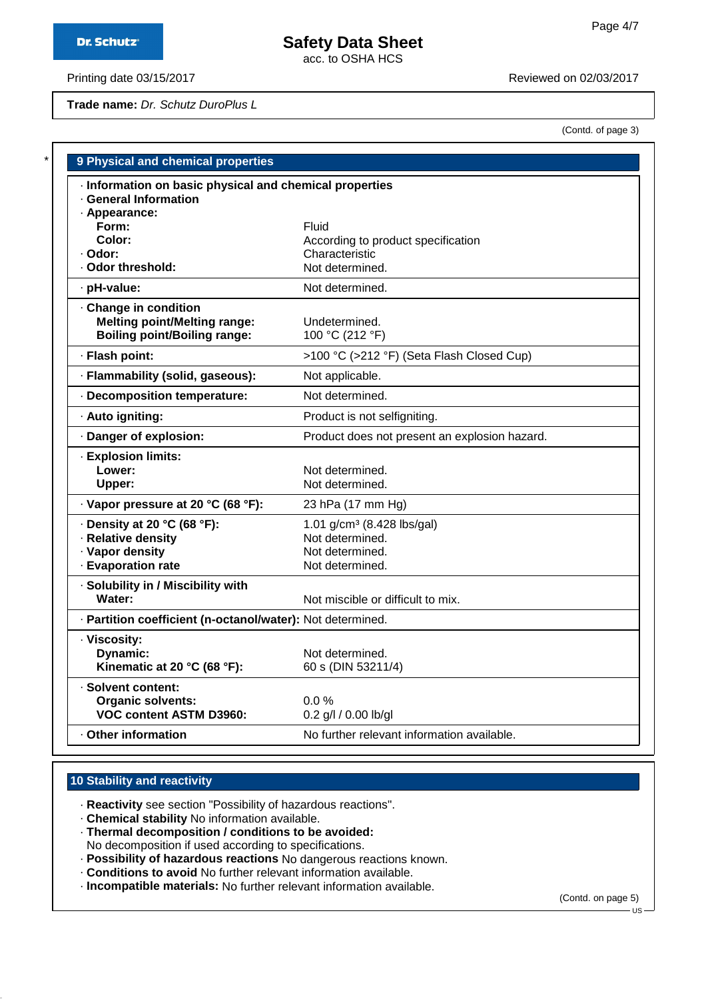**Dr. Schutz®** 

# **Safety Data Sheet**

acc. to OSHA HCS

Printing date 03/15/2017 **Printing date 03/15/2017** 

**Trade name:** Dr. Schutz DuroPlus L

| (Contd. of page 3) |  |  |  |
|--------------------|--|--|--|
|--------------------|--|--|--|

| · Information on basic physical and chemical properties    |                                               |
|------------------------------------------------------------|-----------------------------------------------|
| · General Information                                      |                                               |
| · Appearance:                                              |                                               |
| Form:                                                      | Fluid                                         |
| Color:                                                     | According to product specification            |
| · Odor:                                                    | Characteristic                                |
| · Odor threshold:                                          | Not determined.                               |
| · pH-value:                                                | Not determined.                               |
| Change in condition                                        |                                               |
| <b>Melting point/Melting range:</b>                        | Undetermined.                                 |
| <b>Boiling point/Boiling range:</b>                        | 100 °C (212 °F)                               |
| · Flash point:                                             | >100 °C (>212 °F) (Seta Flash Closed Cup)     |
| · Flammability (solid, gaseous):                           | Not applicable.                               |
| Decomposition temperature:                                 | Not determined.                               |
| · Auto igniting:                                           | Product is not selfigniting.                  |
| · Danger of explosion:                                     | Product does not present an explosion hazard. |
| · Explosion limits:                                        |                                               |
| Lower:                                                     | Not determined.                               |
| Upper:                                                     | Not determined.                               |
| · Vapor pressure at 20 °C (68 °F):                         | 23 hPa (17 mm Hg)                             |
| $\cdot$ Density at 20 °C (68 °F):                          | 1.01 $g/cm^3$ (8.428 lbs/gal)                 |
| · Relative density                                         | Not determined.                               |
| · Vapor density                                            | Not determined.                               |
| · Evaporation rate                                         | Not determined.                               |
| · Solubility in / Miscibility with                         |                                               |
| Water:                                                     | Not miscible or difficult to mix.             |
| · Partition coefficient (n-octanol/water): Not determined. |                                               |
| · Viscosity:                                               |                                               |
| <b>Dynamic:</b>                                            | Not determined.                               |
| Kinematic at 20 °C (68 °F):                                | 60 s (DIN 53211/4)                            |
|                                                            |                                               |
| · Solvent content:                                         |                                               |
| <b>Organic solvents:</b>                                   | $0.0\%$                                       |
| VOC content ASTM D3960:                                    | 0.2 g/l / 0.00 lb/gl                          |

#### **10 Stability and reactivity**

· **Reactivity** see section "Possibility of hazardous reactions".

· **Chemical stability** No information available.

· **Thermal decomposition / conditions to be avoided:** No decomposition if used according to specifications.

· **Possibility of hazardous reactions** No dangerous reactions known.

· **Conditions to avoid** No further relevant information available.

· **Incompatible materials:** No further relevant information available.

(Contd. on page 5)

US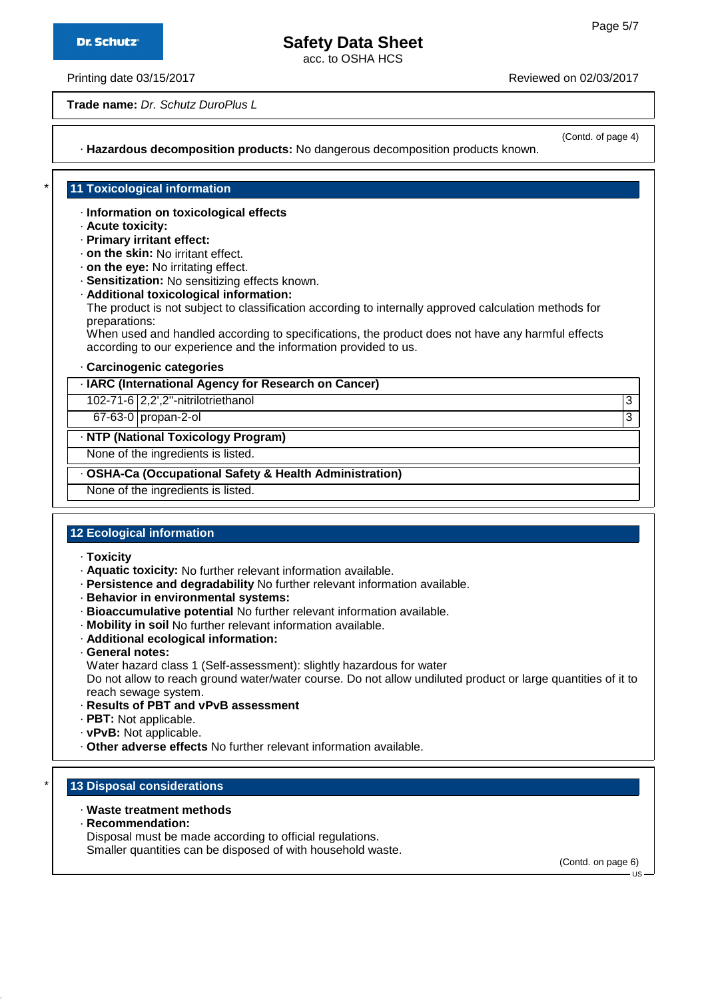**Dr. Schutz®** 

## **Safety Data Sheet**

acc. to OSHA HCS

Printing date 03/15/2017 **Printing date 03/15/2017** 

**Trade name:** Dr. Schutz DuroPlus L

(Contd. of page 4)

· **Hazardous decomposition products:** No dangerous decomposition products known.

#### **11 Toxicological information**

- · **Information on toxicological effects**
- · **Acute toxicity:**
- · **Primary irritant effect:**
- · **on the skin:** No irritant effect.
- · **on the eye:** No irritating effect.
- · **Sensitization:** No sensitizing effects known.
- · **Additional toxicological information:**

The product is not subject to classification according to internally approved calculation methods for preparations:

When used and handled according to specifications, the product does not have any harmful effects according to our experience and the information provided to us.

· **Carcinogenic categories**

#### · **IARC (International Agency for Research on Cancer)**

102-71-6 2,2',2''-nitrilotriethanol 3

67-63-0 propan-2-ol 3

#### · **NTP (National Toxicology Program)**

None of the ingredients is listed.

#### · **OSHA-Ca (Occupational Safety & Health Administration)**

None of the ingredients is listed.

#### **12 Ecological information**

- · **Toxicity**
- · **Aquatic toxicity:** No further relevant information available.
- · **Persistence and degradability** No further relevant information available.
- · **Behavior in environmental systems:**
- · **Bioaccumulative potential** No further relevant information available.
- · **Mobility in soil** No further relevant information available.
- · **Additional ecological information:**
- · **General notes:**
- Water hazard class 1 (Self-assessment): slightly hazardous for water

Do not allow to reach ground water/water course. Do not allow undiluted product or large quantities of it to reach sewage system.

- · **Results of PBT and vPvB assessment**
- · **PBT:** Not applicable.
- · **vPvB:** Not applicable.
- · **Other adverse effects** No further relevant information available.

#### **13 Disposal considerations**

- · **Waste treatment methods**
- · **Recommendation:**

Disposal must be made according to official regulations.

Smaller quantities can be disposed of with household waste.

(Contd. on page 6)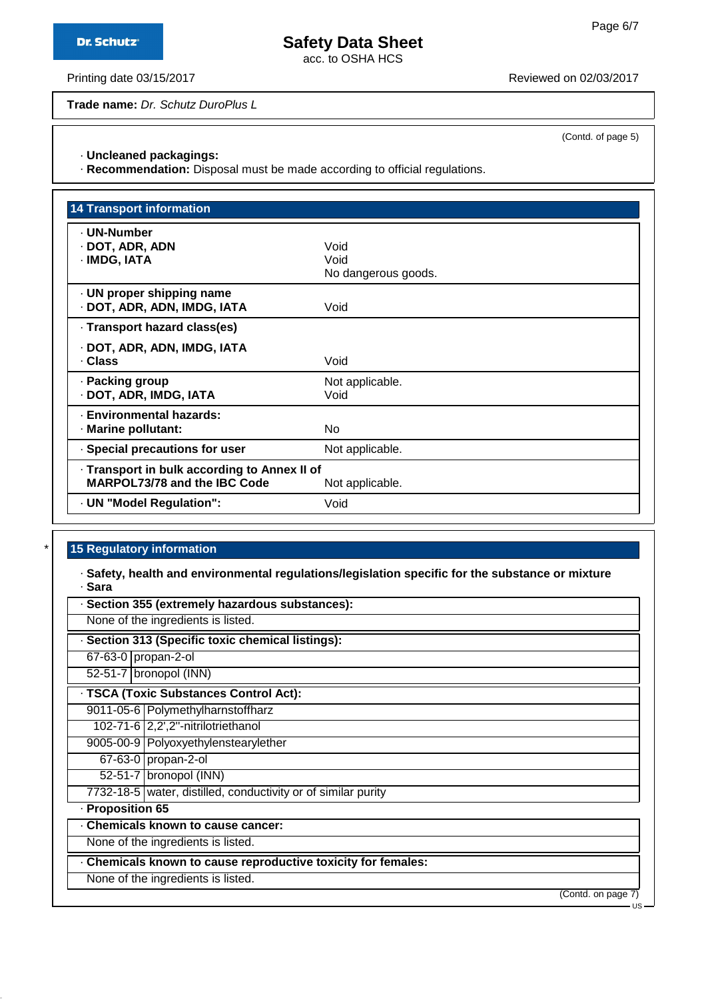acc. to OSHA HCS

Printing date 03/15/2017 **Printing date 03/15/2017** Reviewed on 02/03/2017

**Trade name:** Dr. Schutz DuroPlus L

(Contd. of page 5)

#### · **Uncleaned packagings:**

· **Recommendation:** Disposal must be made according to official regulations.

| <b>14 Transport information</b>              |                     |
|----------------------------------------------|---------------------|
| - UN-Number                                  |                     |
| · DOT, ADR, ADN                              | Void                |
| · IMDG, IATA                                 | Void                |
|                                              | No dangerous goods. |
| · UN proper shipping name                    |                     |
| · DOT, ADR, ADN, IMDG, IATA                  | Void                |
| · Transport hazard class(es)                 |                     |
| · DOT, ADR, ADN, IMDG, IATA                  |                     |
| · Class                                      | Void                |
| · Packing group                              | Not applicable.     |
| · DOT, ADR, IMDG, IATA                       | Void                |
| · Environmental hazards:                     |                     |
| · Marine pollutant:                          | No                  |
| · Special precautions for user               | Not applicable.     |
| · Transport in bulk according to Annex II of |                     |
| <b>MARPOL73/78 and the IBC Code</b>          | Not applicable.     |
| · UN "Model Regulation":                     | Void                |

#### **15 Regulatory information**

· **Safety, health and environmental regulations/legislation specific for the substance or mixture** · **Sara**

|                     | Section 355 (extremely hazardous substances):                 |
|---------------------|---------------------------------------------------------------|
|                     | None of the ingredients is listed.                            |
|                     | · Section 313 (Specific toxic chemical listings):             |
| 67-63-0 propan-2-ol |                                                               |
|                     | 52-51-7 bronopol (INN)                                        |
|                     | · TSCA (Toxic Substances Control Act):                        |
|                     | 9011-05-6 Polymethylharnstoffharz                             |
|                     | 102-71-6 2,2',2"-nitrilotriethanol                            |
|                     | 9005-00-9 Polyoxyethylenstearylether                          |
|                     | 67-63-0 propan-2-ol                                           |
|                     | 52-51-7   bronopol (INN)                                      |
|                     | 7732-18-5 water, distilled, conductivity or of similar purity |
| · Proposition 65    |                                                               |
|                     | . Chemicals known to cause cancer:                            |
|                     | None of the ingredients is listed.                            |
|                     | . Chemicals known to cause reproductive toxicity for females: |
|                     | None of the ingredients is listed.                            |
|                     | (Contd. on page 7)                                            |
|                     | - US                                                          |